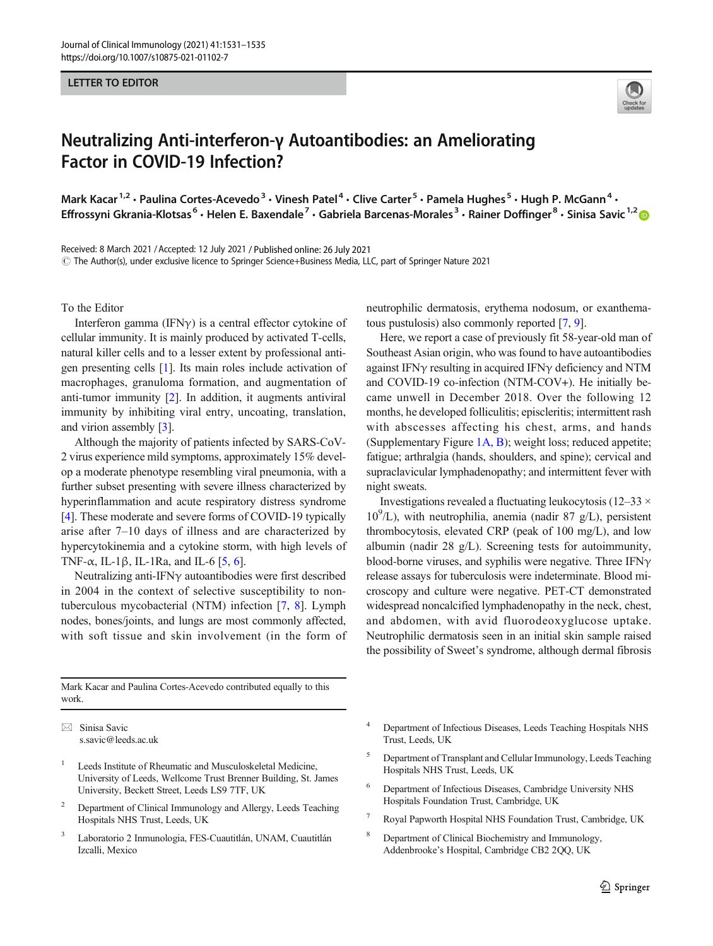## LETTER TO EDITOR



## Neutralizing Anti-interferon-γ Autoantibodies: an Ameliorating Factor in COVID-19 Infection?

Mark Kacar<sup>1,2</sup> • Paulina Cortes-Acevedo<sup>3</sup> • Vinesh Patel<sup>4</sup> • Clive Carter<sup>5</sup> • Pamela Hughes<sup>5</sup> • Hugh P. McGann<sup>4</sup> • Effrossyni Gkrania-Klotsas<sup>6</sup> • Helen E. Baxendale<sup>7</sup> • Gabriela Barcenas-Morales<sup>3</sup> • Rainer Doffinger<sup>8</sup> • Sinisa Savic<sup>1,2</sup>

Received: 8 March 2021 /Accepted: 12 July 2021 / Published online: 26 July 2021  $\degree$  The Author(s), under exclusive licence to Springer Science+Business Media, LLC, part of Springer Nature 2021

To the Editor

Interferon gamma (IFN $\gamma$ ) is a central effector cytokine of cellular immunity. It is mainly produced by activated T-cells, natural killer cells and to a lesser extent by professional antigen presenting cells [\[1](#page-3-0)]. Its main roles include activation of macrophages, granuloma formation, and augmentation of anti-tumor immunity [\[2](#page-3-0)]. In addition, it augments antiviral immunity by inhibiting viral entry, uncoating, translation, and virion assembly [\[3](#page-3-0)].

Although the majority of patients infected by SARS-CoV-2 virus experience mild symptoms, approximately 15% develop a moderate phenotype resembling viral pneumonia, with a further subset presenting with severe illness characterized by hyperinflammation and acute respiratory distress syndrome [\[4](#page-3-0)]. These moderate and severe forms of COVID-19 typically arise after 7–10 days of illness and are characterized by hypercytokinemia and a cytokine storm, with high levels of TNF- $\alpha$ , IL-1 $\beta$ , IL-1Ra, and IL-6 [\[5](#page-3-0), [6](#page-3-0)].

Neutralizing anti-IFNγ autoantibodies were first described in 2004 in the context of selective susceptibility to nontuberculous mycobacterial (NTM) infection [[7,](#page-3-0) [8\]](#page-4-0). Lymph nodes, bones/joints, and lungs are most commonly affected, with soft tissue and skin involvement (in the form of neutrophilic dermatosis, erythema nodosum, or exanthematous pustulosis) also commonly reported [[7,](#page-3-0) [9\]](#page-4-0).

Here, we report a case of previously fit 58-year-old man of Southeast Asian origin, who was found to have autoantibodies against IFN $\gamma$  resulting in acquired IFN $\gamma$  deficiency and NTM and COVID-19 co-infection (NTM-COV+). He initially became unwell in December 2018. Over the following 12 months, he developed folliculitis; episcleritis; intermittent rash with abscesses affecting his chest, arms, and hands (Supplementary Figure 1A, B); weight loss; reduced appetite; fatigue; arthralgia (hands, shoulders, and spine); cervical and supraclavicular lymphadenopathy; and intermittent fever with night sweats.

Investigations revealed a fluctuating leukocytosis (12–33  $\times$ 109 /L), with neutrophilia, anemia (nadir 87 g/L), persistent thrombocytosis, elevated CRP (peak of 100 mg/L), and low albumin (nadir 28 g/L). Screening tests for autoimmunity, blood-borne viruses, and syphilis were negative. Three IFN $\gamma$ release assays for tuberculosis were indeterminate. Blood microscopy and culture were negative. PET-CT demonstrated widespread noncalcified lymphadenopathy in the neck, chest, and abdomen, with avid fluorodeoxyglucose uptake. Neutrophilic dermatosis seen in an initial skin sample raised the possibility of Sweet's syndrome, although dermal fibrosis

Mark Kacar and Paulina Cortes-Acevedo contributed equally to this work.

 $\boxtimes$  Sinisa Savic [s.savic@leeds.ac.uk](mailto:s.savic@leeds.ac.uk)

- <sup>1</sup> Leeds Institute of Rheumatic and Musculoskeletal Medicine, University of Leeds, Wellcome Trust Brenner Building, St. James University, Beckett Street, Leeds LS9 7TF, UK
- <sup>2</sup> Department of Clinical Immunology and Allergy, Leeds Teaching Hospitals NHS Trust, Leeds, UK
- Laboratorio 2 Inmunologia, FES-Cuautitlán, UNAM, Cuautitlán Izcalli, Mexico
- <sup>4</sup> Department of Infectious Diseases, Leeds Teaching Hospitals NHS Trust, Leeds, UK
- <sup>5</sup> Department of Transplant and Cellular Immunology, Leeds Teaching Hospitals NHS Trust, Leeds, UK
- <sup>6</sup> Department of Infectious Diseases, Cambridge University NHS Hospitals Foundation Trust, Cambridge, UK
- Royal Papworth Hospital NHS Foundation Trust, Cambridge, UK
- <sup>8</sup> Department of Clinical Biochemistry and Immunology, Addenbrooke's Hospital, Cambridge CB2 2QQ, UK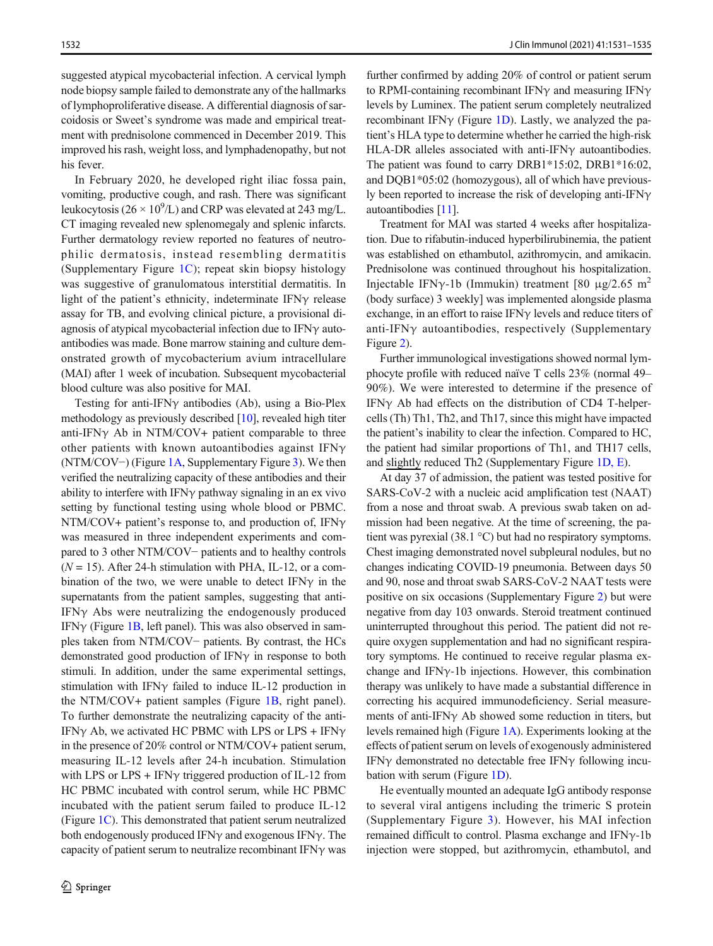suggested atypical mycobacterial infection. A cervical lymph node biopsy sample failed to demonstrate any of the hallmarks of lymphoproliferative disease. A differential diagnosis of sarcoidosis or Sweet's syndrome was made and empirical treatment with prednisolone commenced in December 2019. This improved his rash, weight loss, and lymphadenopathy, but not his fever.

In February 2020, he developed right iliac fossa pain, vomiting, productive cough, and rash. There was significant leukocytosis ( $26 \times 10^9$ /L) and CRP was elevated at 243 mg/L. CT imaging revealed new splenomegaly and splenic infarcts. Further dermatology review reported no features of neutrophilic dermatosis, instead resembling dermatitis (Supplementary Figure 1C); repeat skin biopsy histology was suggestive of granulomatous interstitial dermatitis. In light of the patient's ethnicity, indeterminate IFN $\gamma$  release assay for TB, and evolving clinical picture, a provisional diagnosis of atypical mycobacterial infection due to IFNγ autoantibodies was made. Bone marrow staining and culture demonstrated growth of mycobacterium avium intracellulare (MAI) after 1 week of incubation. Subsequent mycobacterial blood culture was also positive for MAI.

Testing for anti-IFNγ antibodies (Ab), using a Bio-Plex methodology as previously described [\[10\]](#page-4-0), revealed high titer anti-IFN $\gamma$  Ab in NTM/COV+ patient comparable to three other patients with known autoantibodies against IFN $\gamma$ (NTM/COV−) (Figure [1A](#page-2-0), Supplementary Figure 3). We then verified the neutralizing capacity of these antibodies and their ability to interfere with IFN $\gamma$  pathway signaling in an ex vivo setting by functional testing using whole blood or PBMC. NTM/COV+ patient's response to, and production of, IFNγ was measured in three independent experiments and compared to 3 other NTM/COV− patients and to healthy controls  $(N = 15)$ . After 24-h stimulation with PHA, IL-12, or a combination of the two, we were unable to detect IFN $\gamma$  in the supernatants from the patient samples, suggesting that anti-IFNγ Abs were neutralizing the endogenously produced IFN $\gamma$  (Figure [1B,](#page-2-0) left panel). This was also observed in samples taken from NTM/COV− patients. By contrast, the HCs demonstrated good production of IFNγ in response to both stimuli. In addition, under the same experimental settings, stimulation with IFNγ failed to induce IL-12 production in the NTM/COV+ patient samples (Figure [1B](#page-2-0), right panel). To further demonstrate the neutralizing capacity of the anti-IFN $\gamma$  Ab, we activated HC PBMC with LPS or LPS + IFN $\gamma$ in the presence of 20% control or NTM/COV+ patient serum, measuring IL-12 levels after 24-h incubation. Stimulation with LPS or LPS + IFN $\gamma$  triggered production of IL-12 from HC PBMC incubated with control serum, while HC PBMC incubated with the patient serum failed to produce IL-12 (Figure [1C](#page-2-0)). This demonstrated that patient serum neutralized both endogenously produced IFNγ and exogenous IFNγ. The capacity of patient serum to neutralize recombinant IFNγ was further confirmed by adding 20% of control or patient serum to RPMI-containing recombinant IFNγ and measuring IFNγ levels by Luminex. The patient serum completely neutralized recombinant IFN $\gamma$  (Figure [1D](#page-2-0)). Lastly, we analyzed the patient's HLA type to determine whether he carried the high-risk HLA-DR alleles associated with anti-IFNγ autoantibodies. The patient was found to carry DRB1\*15:02, DRB1\*16:02, and DQB1\*05:02 (homozygous), all of which have previously been reported to increase the risk of developing anti-IFNγ autoantibodies [\[11](#page-4-0)].

Treatment for MAI was started 4 weeks after hospitalization. Due to rifabutin-induced hyperbilirubinemia, the patient was established on ethambutol, azithromycin, and amikacin. Prednisolone was continued throughout his hospitalization. Injectable IFNγ-1b (Immukin) treatment [80 μg/2.65 m<sup>2</sup> (body surface) 3 weekly] was implemented alongside plasma exchange, in an effort to raise IFN $\gamma$  levels and reduce titers of anti-IFN $\gamma$  autoantibodies, respectively (Supplementary Figure 2).

Further immunological investigations showed normal lymphocyte profile with reduced naïve T cells 23% (normal 49– 90%). We were interested to determine if the presence of IFNγ Ab had effects on the distribution of CD4 T-helpercells (Th) Th1, Th2, and Th17, since this might have impacted the patient's inability to clear the infection. Compared to HC, the patient had similar proportions of Th1, and TH17 cells, and slightly reduced Th2 (Supplementary Figure 1D, E).

At day 37 of admission, the patient was tested positive for SARS-CoV-2 with a nucleic acid amplification test (NAAT) from a nose and throat swab. A previous swab taken on admission had been negative. At the time of screening, the patient was pyrexial (38.1 °C) but had no respiratory symptoms. Chest imaging demonstrated novel subpleural nodules, but no changes indicating COVID-19 pneumonia. Between days 50 and 90, nose and throat swab SARS-CoV-2 NAAT tests were positive on six occasions (Supplementary Figure 2) but were negative from day 103 onwards. Steroid treatment continued uninterrupted throughout this period. The patient did not require oxygen supplementation and had no significant respiratory symptoms. He continued to receive regular plasma exchange and IFNγ-1b injections. However, this combination therapy was unlikely to have made a substantial difference in correcting his acquired immunodeficiency. Serial measurements of anti-IFNγ Ab showed some reduction in titers, but levels remained high (Figure [1A\)](#page-2-0). Experiments looking at the effects of patient serum on levels of exogenously administered IFNγ demonstrated no detectable free IFNγ following incubation with serum (Figure [1D](#page-2-0)).

He eventually mounted an adequate IgG antibody response to several viral antigens including the trimeric S protein (Supplementary Figure 3). However, his MAI infection remained difficult to control. Plasma exchange and IFNγ-1b injection were stopped, but azithromycin, ethambutol, and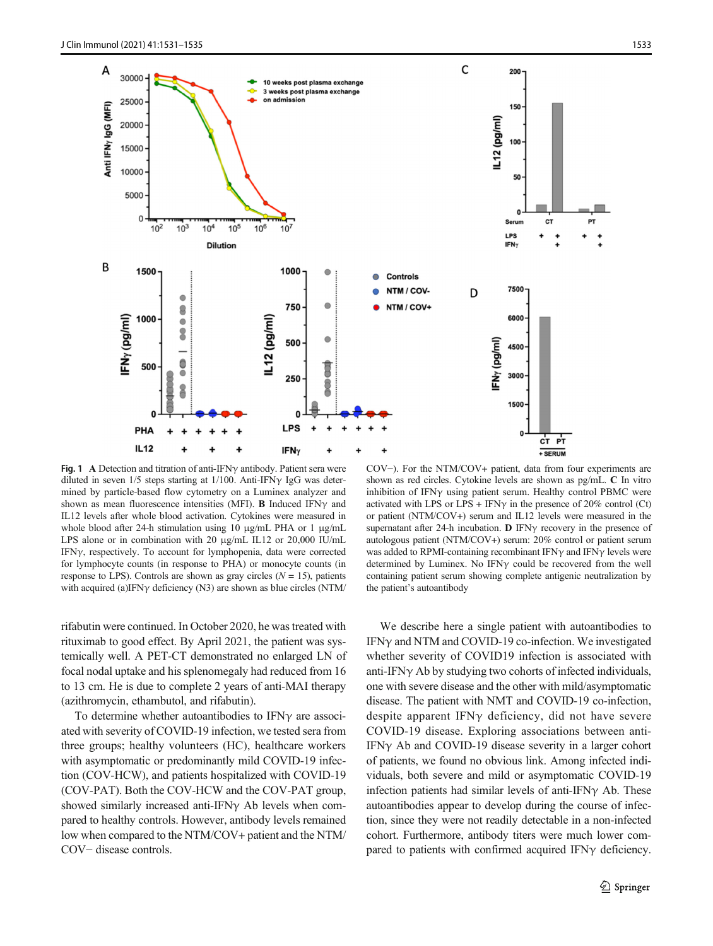<span id="page-2-0"></span>

Fig. 1 A Detection and titration of anti-IFNγ antibody. Patient sera were diluted in seven  $1/5$  steps starting at  $1/100$ . Anti-IFN $\gamma$  IgG was determined by particle-based flow cytometry on a Luminex analyzer and shown as mean fluorescence intensities (MFI). **B** Induced IFN $\gamma$  and IL12 levels after whole blood activation. Cytokines were measured in whole blood after 24-h stimulation using 10 μg/mL PHA or 1 μg/mL LPS alone or in combination with 20 μg/mL IL12 or 20,000 IU/mL IFNγ, respectively. To account for lymphopenia, data were corrected for lymphocyte counts (in response to PHA) or monocyte counts (in response to LPS). Controls are shown as gray circles  $(N = 15)$ , patients with acquired (a)IFNγ deficiency (N3) are shown as blue circles (NTM/

COV−). For the NTM/COV+ patient, data from four experiments are shown as red circles. Cytokine levels are shown as pg/mL. C In vitro inhibition of IFN $\gamma$  using patient serum. Healthy control PBMC were activated with LPS or LPS + IFN $\gamma$  in the presence of 20% control (Ct) or patient (NTM/COV+) serum and IL12 levels were measured in the supernatant after 24-h incubation. **D** IFN $\gamma$  recovery in the presence of autologous patient (NTM/COV+) serum: 20% control or patient serum was added to RPMI-containing recombinant IFN $\gamma$  and IFN $\gamma$  levels were determined by Luminex. No IFNγ could be recovered from the well containing patient serum showing complete antigenic neutralization by the patient's autoantibody

rifabutin were continued. In October 2020, he was treated with rituximab to good effect. By April 2021, the patient was systemically well. A PET-CT demonstrated no enlarged LN of focal nodal uptake and his splenomegaly had reduced from 16 to 13 cm. He is due to complete 2 years of anti-MAI therapy (azithromycin, ethambutol, and rifabutin).

To determine whether autoantibodies to IFNγ are associated with severity of COVID-19 infection, we tested sera from three groups; healthy volunteers (HC), healthcare workers with asymptomatic or predominantly mild COVID-19 infection (COV-HCW), and patients hospitalized with COVID-19 (COV-PAT). Both the COV-HCW and the COV-PAT group, showed similarly increased anti-IFN $\gamma$  Ab levels when compared to healthy controls. However, antibody levels remained low when compared to the NTM/COV+ patient and the NTM/ COV− disease controls.

We describe here a single patient with autoantibodies to IFNγ and NTM and COVID-19 co-infection. We investigated whether severity of COVID19 infection is associated with anti-IFNγ Ab by studying two cohorts of infected individuals, one with severe disease and the other with mild/asymptomatic disease. The patient with NMT and COVID-19 co-infection, despite apparent IFNγ deficiency, did not have severe COVID-19 disease. Exploring associations between anti-IFNγ Ab and COVID-19 disease severity in a larger cohort of patients, we found no obvious link. Among infected individuals, both severe and mild or asymptomatic COVID-19 infection patients had similar levels of anti-IFN $\gamma$  Ab. These autoantibodies appear to develop during the course of infection, since they were not readily detectable in a non-infected cohort. Furthermore, antibody titers were much lower compared to patients with confirmed acquired IFN $\gamma$  deficiency.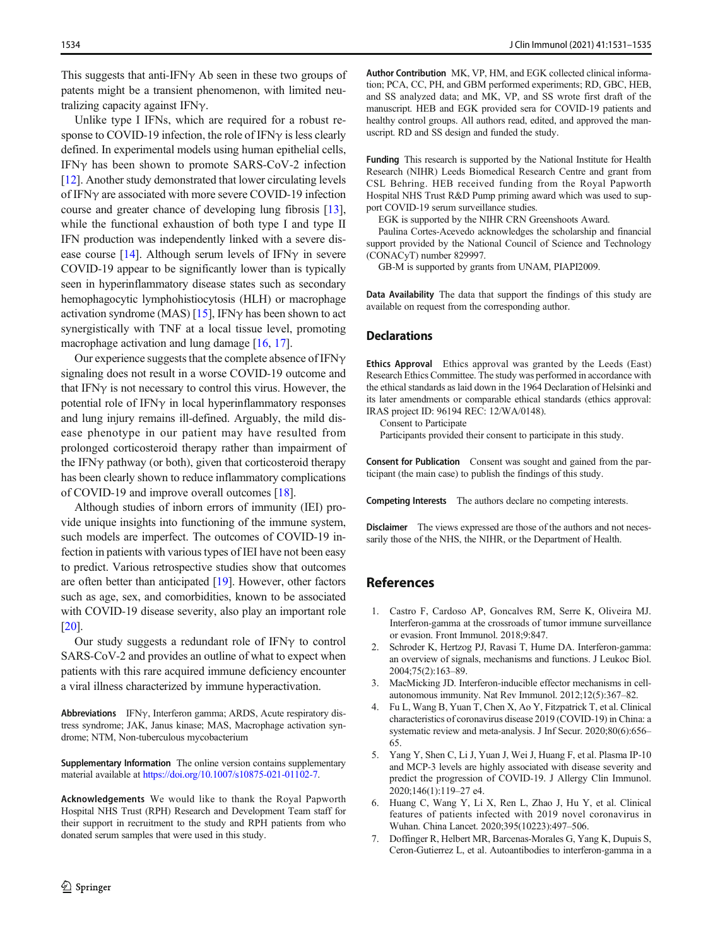<span id="page-3-0"></span>This suggests that anti-IFN $\nu$  Ab seen in these two groups of patents might be a transient phenomenon, with limited neutralizing capacity against IFNγ.

Unlike type I IFNs, which are required for a robust response to COVID-19 infection, the role of IFNγ is less clearly defined. In experimental models using human epithelial cells, IFNγ has been shown to promote SARS-CoV-2 infection [\[12\]](#page-4-0). Another study demonstrated that lower circulating levels of IFNγ are associated with more severe COVID-19 infection course and greater chance of developing lung fibrosis [[13\]](#page-4-0), while the functional exhaustion of both type I and type II IFN production was independently linked with a severe dis-ease course [\[14](#page-4-0)]. Although serum levels of IFN $\gamma$  in severe COVID-19 appear to be significantly lower than is typically seen in hyperinflammatory disease states such as secondary hemophagocytic lymphohistiocytosis (HLH) or macrophage activation syndrome (MAS) [\[15\]](#page-4-0), IFN $\gamma$  has been shown to act synergistically with TNF at a local tissue level, promoting macrophage activation and lung damage [\[16](#page-4-0), [17\]](#page-4-0).

Our experience suggests that the complete absence of IFN $\gamma$ signaling does not result in a worse COVID-19 outcome and that IFN $\gamma$  is not necessary to control this virus. However, the potential role of IFNγ in local hyperinflammatory responses and lung injury remains ill-defined. Arguably, the mild disease phenotype in our patient may have resulted from prolonged corticosteroid therapy rather than impairment of the IFNγ pathway (or both), given that corticosteroid therapy has been clearly shown to reduce inflammatory complications of COVID-19 and improve overall outcomes [\[18\]](#page-4-0).

Although studies of inborn errors of immunity (IEI) provide unique insights into functioning of the immune system, such models are imperfect. The outcomes of COVID-19 infection in patients with various types of IEI have not been easy to predict. Various retrospective studies show that outcomes are often better than anticipated [\[19\]](#page-4-0). However, other factors such as age, sex, and comorbidities, known to be associated with COVID-19 disease severity, also play an important role [\[20\]](#page-4-0).

Our study suggests a redundant role of IFNγ to control SARS-CoV-2 and provides an outline of what to expect when patients with this rare acquired immune deficiency encounter a viral illness characterized by immune hyperactivation.

Abbreviations IFNγ, Interferon gamma; ARDS, Acute respiratory distress syndrome; JAK, Janus kinase; MAS, Macrophage activation syndrome; NTM, Non-tuberculous mycobacterium

Supplementary Information The online version contains supplementary material available at <https://doi.org/10.1007/s10875-021-01102-7>.

Acknowledgements We would like to thank the Royal Papworth Hospital NHS Trust (RPH) Research and Development Team staff for their support in recruitment to the study and RPH patients from who donated serum samples that were used in this study.

Author Contribution MK, VP, HM, and EGK collected clinical information; PCA, CC, PH, and GBM performed experiments; RD, GBC, HEB, and SS analyzed data; and MK, VP, and SS wrote first draft of the manuscript. HEB and EGK provided sera for COVID-19 patients and healthy control groups. All authors read, edited, and approved the manuscript. RD and SS design and funded the study.

Funding This research is supported by the National Institute for Health Research (NIHR) Leeds Biomedical Research Centre and grant from CSL Behring. HEB received funding from the Royal Papworth Hospital NHS Trust R&D Pump priming award which was used to support COVID-19 serum surveillance studies.

EGK is supported by the NIHR CRN Greenshoots Award.

Paulina Cortes-Acevedo acknowledges the scholarship and financial support provided by the National Council of Science and Technology (CONACyT) number 829997.

GB-M is supported by grants from UNAM, PIAPI2009.

Data Availability The data that support the findings of this study are available on request from the corresponding author.

## **Declarations**

Ethics Approval Ethics approval was granted by the Leeds (East) Research Ethics Committee. The study was performed in accordance with the ethical standards as laid down in the 1964 Declaration of Helsinki and its later amendments or comparable ethical standards (ethics approval: IRAS project ID: 96194 REC: 12/WA/0148).

Consent to Participate

Participants provided their consent to participate in this study.

Consent for Publication Consent was sought and gained from the participant (the main case) to publish the findings of this study.

Competing Interests The authors declare no competing interests.

Disclaimer The views expressed are those of the authors and not necessarily those of the NHS, the NIHR, or the Department of Health.

## References

- 1. Castro F, Cardoso AP, Goncalves RM, Serre K, Oliveira MJ. Interferon-gamma at the crossroads of tumor immune surveillance or evasion. Front Immunol. 2018;9:847.
- 2. Schroder K, Hertzog PJ, Ravasi T, Hume DA. Interferon-gamma: an overview of signals, mechanisms and functions. J Leukoc Biol. 2004;75(2):163–89.
- 3. MacMicking JD. Interferon-inducible effector mechanisms in cellautonomous immunity. Nat Rev Immunol. 2012;12(5):367–82.
- 4. Fu L, Wang B, Yuan T, Chen X, Ao Y, Fitzpatrick T, et al. Clinical characteristics of coronavirus disease 2019 (COVID-19) in China: a systematic review and meta-analysis. J Inf Secur. 2020;80(6):656– 65.
- 5. Yang Y, Shen C, Li J, Yuan J, Wei J, Huang F, et al. Plasma IP-10 and MCP-3 levels are highly associated with disease severity and predict the progression of COVID-19. J Allergy Clin Immunol. 2020;146(1):119–27 e4.
- 6. Huang C, Wang Y, Li X, Ren L, Zhao J, Hu Y, et al. Clinical features of patients infected with 2019 novel coronavirus in Wuhan. China Lancet. 2020;395(10223):497–506.
- 7. Doffinger R, Helbert MR, Barcenas-Morales G, Yang K, Dupuis S, Ceron-Gutierrez L, et al. Autoantibodies to interferon-gamma in a